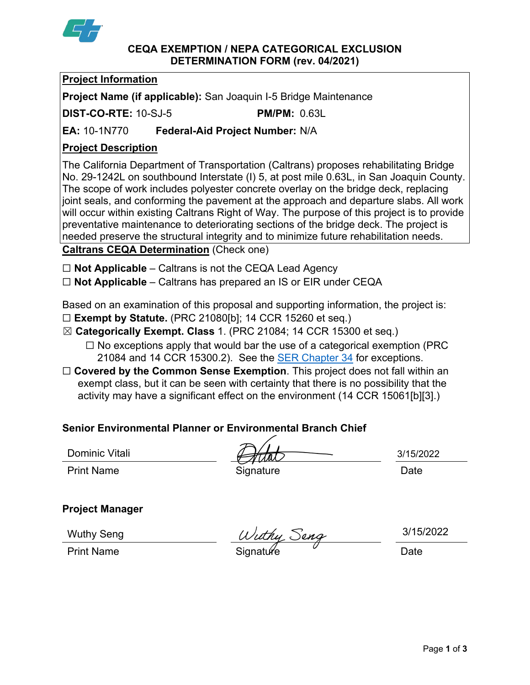

#### **CEQA EXEMPTION / NEPA CATEGORICAL EXCLUSION DETERMINATION FORM (rev. 04/2021)**

## **Project Information**

**Project Name (if applicable):** San Joaquin I-5 Bridge Maintenance

**DIST-CO-RTE:** 10-SJ-5 **PM/PM:** 0.63L

**EA:** 10-1N770 **Federal-Aid Project Number:** N/A

# **Project Description**

The California Department of Transportation (Caltrans) proposes rehabilitating Bridge No. 29-1242L on southbound Interstate (I) 5, at post mile 0.63L, in San Joaquin County. The scope of work includes polyester concrete overlay on the bridge deck, replacing joint seals, and conforming the pavement at the approach and departure slabs. All work will occur within existing Caltrans Right of Way. The purpose of this project is to provide preventative maintenance to deteriorating sections of the bridge deck. The project is needed preserve the structural integrity and to minimize future rehabilitation needs.

**Caltrans CEQA Determination** (Check one)

☐ **Not Applicable** – Caltrans is not the CEQA Lead Agency

☐ **Not Applicable** – Caltrans has prepared an IS or EIR under CEQA

Based on an examination of this proposal and supporting information, the project is:

- ☐ **Exempt by Statute.** (PRC 21080[b]; 14 CCR 15260 et seq.)
- ☒ **Categorically Exempt. Class** 1. (PRC 21084; 14 CCR 15300 et seq.)
	- $\Box$  No exceptions apply that would bar the use of a categorical exemption (PRC 21084 and 14 CCR 15300.2). See the [SER Chapter 34](https://dot.ca.gov/programs/environmental-analysis/standard-environmental-reference-ser/volume-1-guidance-for-compliance/ch-34-exemptions-to-ceqa#except) for exceptions.
- □ **Covered by the Common Sense Exemption**. This project does not fall within an exempt class, but it can be seen with certainty that there is no possibility that the activity may have a significant effect on the environment (14 CCR 15061[b][3].)

## **Senior Environmental Planner or Environmental Branch Chief**

Dominic Vitali

Print Name **Signature Date** 

3/15/2022

## **Project Manager**

Wuthy Seng

Wuthy Seng  $\frac{Wuthy\ Seng}{\text{Signature}}$   $\frac{3/15h}{\text{Date}}$ 

3/15/2022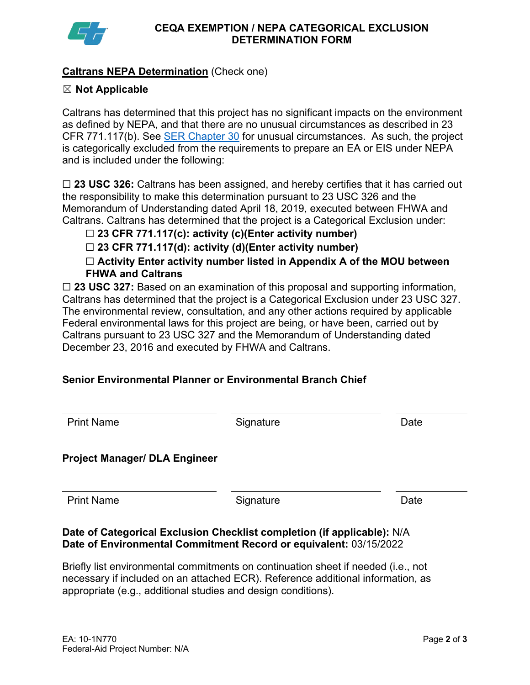

## **Caltrans NEPA Determination** (Check one)

### ☒ **Not Applicable**

Caltrans has determined that this project has no significant impacts on the environment as defined by NEPA, and that there are no unusual circumstances as described in 23 CFR 771.117(b). See **SER Chapter 30** for unusual circumstances. As such, the project is categorically excluded from the requirements to prepare an EA or EIS under NEPA and is included under the following:

☐ **23 USC 326:** Caltrans has been assigned, and hereby certifies that it has carried out the responsibility to make this determination pursuant to 23 USC 326 and the Memorandum of Understanding dated April 18, 2019, executed between FHWA and Caltrans. Caltrans has determined that the project is a Categorical Exclusion under:

## ☐ **23 CFR 771.117(c): activity (c)(Enter activity number)**

☐ **23 CFR 771.117(d): activity (d)(Enter activity number)**

☐ **Activity Enter activity number listed in Appendix A of the MOU between FHWA and Caltrans**

□ 23 USC 327: Based on an examination of this proposal and supporting information, Caltrans has determined that the project is a Categorical Exclusion under 23 USC 327. The environmental review, consultation, and any other actions required by applicable Federal environmental laws for this project are being, or have been, carried out by Caltrans pursuant to 23 USC 327 and the Memorandum of Understanding dated December 23, 2016 and executed by FHWA and Caltrans.

## **Senior Environmental Planner or Environmental Branch Chief**

| <b>Print Name</b>                    | Signature | Date |
|--------------------------------------|-----------|------|
| <b>Project Manager/ DLA Engineer</b> |           |      |
| <b>Print Name</b>                    | Signature | Date |

#### **Date of Categorical Exclusion Checklist completion (if applicable):** N/A **Date of Environmental Commitment Record or equivalent:** 03/15/2022

Briefly list environmental commitments on continuation sheet if needed (i.e., not necessary if included on an attached ECR). Reference additional information, as appropriate (e.g., additional studies and design conditions).